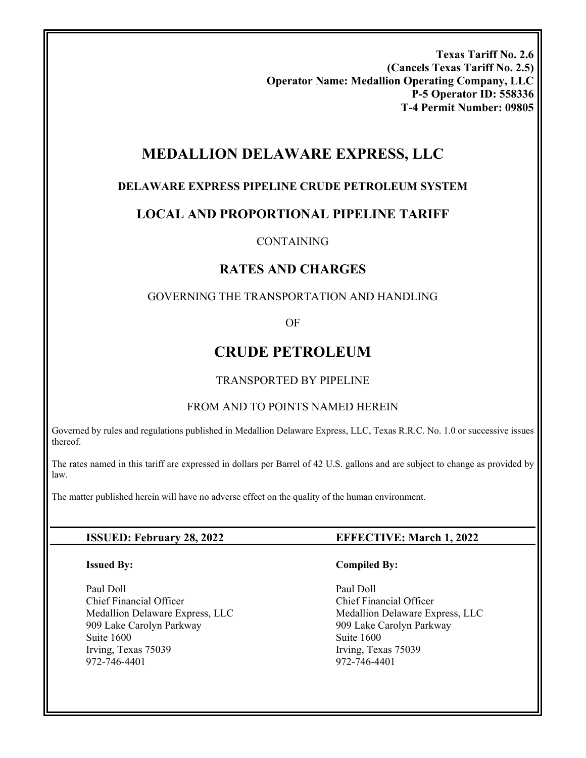**Texas Tariff No. 2.6 (Cancels Texas Tariff No. 2.5) Operator Name: Medallion Operating Company, LLC P-5 Operator ID: 558336 T-4 Permit Number: 09805** 

# **MEDALLION DELAWARE EXPRESS, LLC**

## **DELAWARE EXPRESS PIPELINE CRUDE PETROLEUM SYSTEM**

# **LOCAL AND PROPORTIONAL PIPELINE TARIFF**

### CONTAINING

# **RATES AND CHARGES**

### GOVERNING THE TRANSPORTATION AND HANDLING

OF

# **CRUDE PETROLEUM**

## TRANSPORTED BY PIPELINE

### FROM AND TO POINTS NAMED HEREIN

Governed by rules and regulations published in Medallion Delaware Express, LLC, Texas R.R.C. No. 1.0 or successive issues thereof.

The rates named in this tariff are expressed in dollars per Barrel of 42 U.S. gallons and are subject to change as provided by law.

The matter published herein will have no adverse effect on the quality of the human environment.

### **Issued By:**

Paul Doll Chief Financial Officer Medallion Delaware Express, LLC 909 Lake Carolyn Parkway Suite 1600 Irving, Texas 75039 972-746-4401

## **ISSUED: February 28, 2022 EFFECTIVE: March 1, 2022**

### **Compiled By:**

 Paul Doll Chief Financial Officer Medallion Delaware Express, LLC 909 Lake Carolyn Parkway Suite 1600 Irving, Texas 75039 972-746-4401